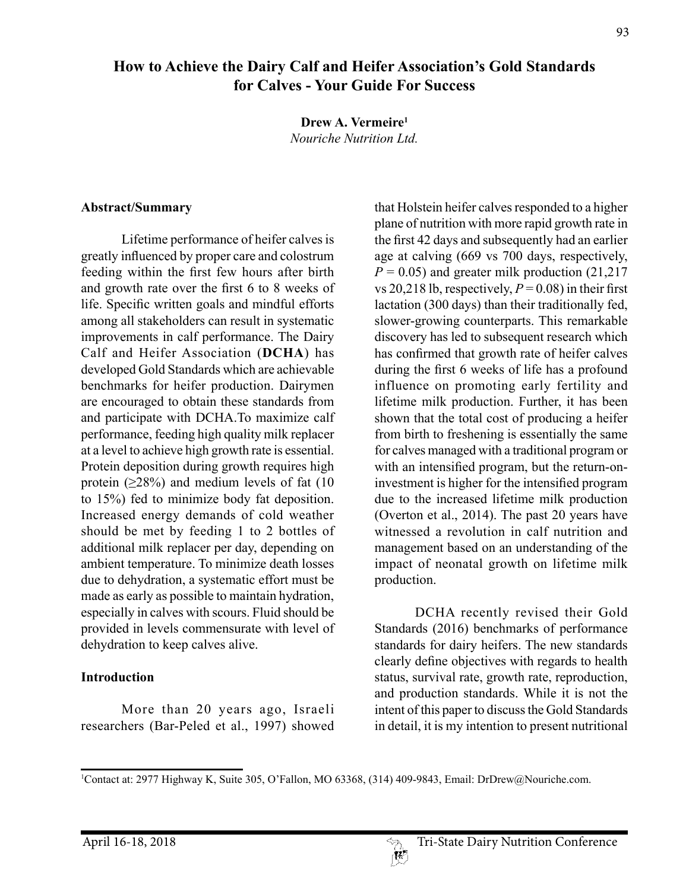# **How to Achieve the Dairy Calf and Heifer Association's Gold Standards for Calves - Your Guide For Success**

**Drew A. Vermeire1** *Nouriche Nutrition Ltd.*

#### **Abstract/Summary**

Lifetime performance of heifer calves is greatly influenced by proper care and colostrum feeding within the first few hours after birth and growth rate over the first 6 to 8 weeks of life. Specific written goals and mindful efforts among all stakeholders can result in systematic improvements in calf performance. The Dairy Calf and Heifer Association (**DCHA**) has developed Gold Standards which are achievable benchmarks for heifer production. Dairymen are encouraged to obtain these standards from and participate with DCHA.To maximize calf performance, feeding high quality milk replacer at a level to achieve high growth rate is essential. Protein deposition during growth requires high protein  $(\geq 28\%)$  and medium levels of fat (10) to 15%) fed to minimize body fat deposition. Increased energy demands of cold weather should be met by feeding 1 to 2 bottles of additional milk replacer per day, depending on ambient temperature. To minimize death losses due to dehydration, a systematic effort must be made as early as possible to maintain hydration, especially in calves with scours. Fluid should be provided in levels commensurate with level of dehydration to keep calves alive.

### **Introduction**

More than 20 years ago, Israeli researchers (Bar-Peled et al., 1997) showed that Holstein heifer calves responded to a higher plane of nutrition with more rapid growth rate in the first 42 days and subsequently had an earlier age at calving (669 vs 700 days, respectively,  $P = 0.05$ ) and greater milk production (21,217) vs 20,218 lb, respectively,  $P = 0.08$ ) in their first lactation (300 days) than their traditionally fed, slower-growing counterparts. This remarkable discovery has led to subsequent research which has confirmed that growth rate of heifer calves during the first 6 weeks of life has a profound influence on promoting early fertility and lifetime milk production. Further, it has been shown that the total cost of producing a heifer from birth to freshening is essentially the same for calves managed with a traditional program or with an intensified program, but the return-oninvestment is higher for the intensified program due to the increased lifetime milk production (Overton et al., 2014). The past 20 years have witnessed a revolution in calf nutrition and management based on an understanding of the impact of neonatal growth on lifetime milk production.

DCHA recently revised their Gold Standards (2016) benchmarks of performance standards for dairy heifers. The new standards clearly define objectives with regards to health status, survival rate, growth rate, reproduction, and production standards. While it is not the intent of this paper to discuss the Gold Standards in detail, it is my intention to present nutritional

 $\mathbb{R}^p$ 

<sup>1</sup> Contact at: 2977 Highway K, Suite 305, O'Fallon, MO 63368, (314) 409-9843, Email: DrDrew@Nouriche.com.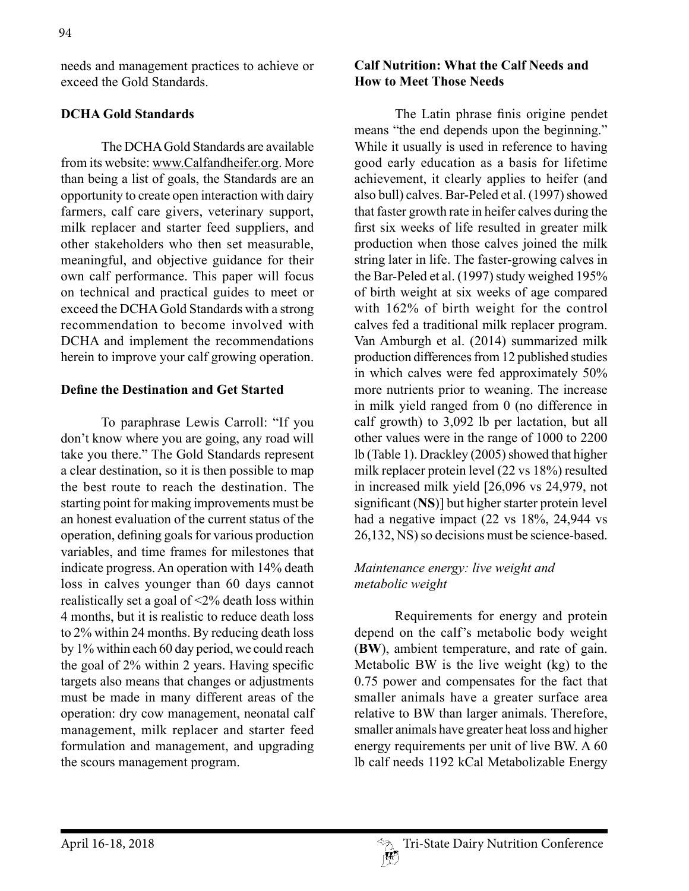needs and management practices to achieve or exceed the Gold Standards.

## **DCHA Gold Standards**

The DCHA Gold Standards are available from its website: www.Calfandheifer.org. More than being a list of goals, the Standards are an opportunity to create open interaction with dairy farmers, calf care givers, veterinary support, milk replacer and starter feed suppliers, and other stakeholders who then set measurable, meaningful, and objective guidance for their own calf performance. This paper will focus on technical and practical guides to meet or exceed the DCHA Gold Standards with a strong recommendation to become involved with DCHA and implement the recommendations herein to improve your calf growing operation.

### **Define the Destination and Get Started**

To paraphrase Lewis Carroll: "If you don't know where you are going, any road will take you there." The Gold Standards represent a clear destination, so it is then possible to map the best route to reach the destination. The starting point for making improvements must be an honest evaluation of the current status of the operation, defining goals for various production variables, and time frames for milestones that indicate progress. An operation with 14% death loss in calves younger than 60 days cannot realistically set a goal of <2% death loss within 4 months, but it is realistic to reduce death loss to 2% within 24 months. By reducing death loss by 1% within each 60 day period, we could reach the goal of 2% within 2 years. Having specific targets also means that changes or adjustments must be made in many different areas of the operation: dry cow management, neonatal calf management, milk replacer and starter feed formulation and management, and upgrading the scours management program.

## **Calf Nutrition: What the Calf Needs and How to Meet Those Needs**

The Latin phrase finis origine pendet means "the end depends upon the beginning." While it usually is used in reference to having good early education as a basis for lifetime achievement, it clearly applies to heifer (and also bull) calves. Bar-Peled et al. (1997) showed that faster growth rate in heifer calves during the first six weeks of life resulted in greater milk production when those calves joined the milk string later in life. The faster-growing calves in the Bar-Peled et al. (1997) study weighed 195% of birth weight at six weeks of age compared with 162% of birth weight for the control calves fed a traditional milk replacer program. Van Amburgh et al. (2014) summarized milk production differences from 12 published studies in which calves were fed approximately 50% more nutrients prior to weaning. The increase in milk yield ranged from 0 (no difference in calf growth) to 3,092 lb per lactation, but all other values were in the range of 1000 to 2200 lb (Table 1). Drackley (2005) showed that higher milk replacer protein level (22 vs 18%) resulted in increased milk yield [26,096 vs 24,979, not significant (**NS**)] but higher starter protein level had a negative impact (22 vs 18%, 24,944 vs 26,132, NS) so decisions must be science-based.

## *Maintenance energy: live weight and metabolic weight*

Requirements for energy and protein depend on the calf's metabolic body weight (**BW**), ambient temperature, and rate of gain. Metabolic BW is the live weight (kg) to the 0.75 power and compensates for the fact that smaller animals have a greater surface area relative to BW than larger animals. Therefore, smaller animals have greater heat loss and higher energy requirements per unit of live BW. A 60 lb calf needs 1192 kCal Metabolizable Energy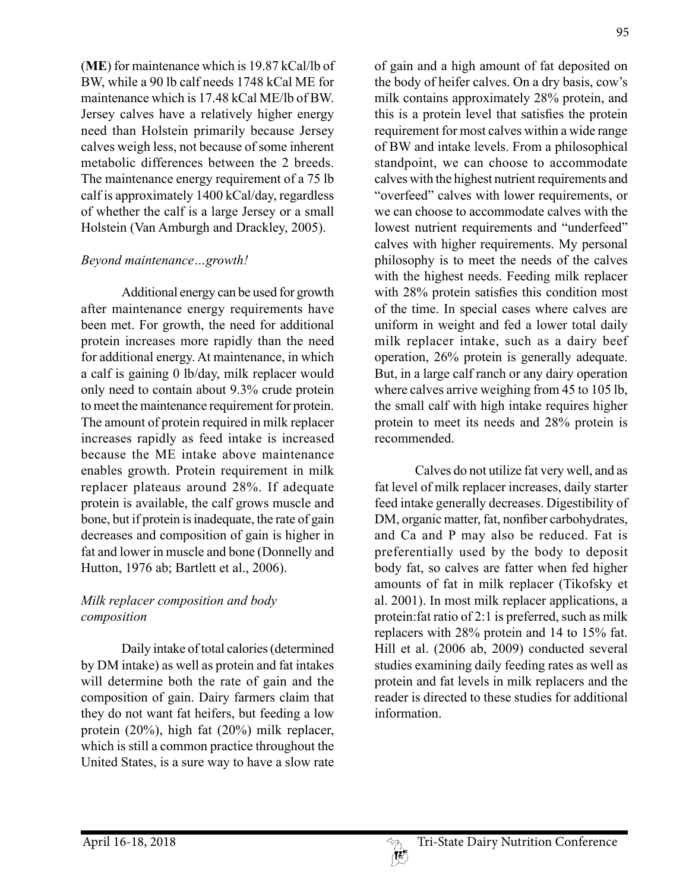(**ME**) for maintenance which is 19.87 kCal/lb of BW, while a 90 lb calf needs 1748 kCal ME for maintenance which is 17.48 kCal ME/lb of BW. Jersey calves have a relatively higher energy need than Holstein primarily because Jersey calves weigh less, not because of some inherent metabolic differences between the 2 breeds. The maintenance energy requirement of a 75 lb calf is approximately 1400 kCal/day, regardless of whether the calf is a large Jersey or a small Holstein (Van Amburgh and Drackley, 2005).

### *Beyond maintenance…growth!*

Additional energy can be used for growth after maintenance energy requirements have been met. For growth, the need for additional protein increases more rapidly than the need for additional energy. At maintenance, in which a calf is gaining 0 lb/day, milk replacer would only need to contain about 9.3% crude protein to meet the maintenance requirement for protein. The amount of protein required in milk replacer increases rapidly as feed intake is increased because the ME intake above maintenance enables growth. Protein requirement in milk replacer plateaus around 28%. If adequate protein is available, the calf grows muscle and bone, but if protein is inadequate, the rate of gain decreases and composition of gain is higher in fat and lower in muscle and bone (Donnelly and Hutton, 1976 ab; Bartlett et al., 2006).

## *Milk replacer composition and body composition*

Daily intake of total calories (determined by DM intake) as well as protein and fat intakes will determine both the rate of gain and the composition of gain. Dairy farmers claim that they do not want fat heifers, but feeding a low protein (20%), high fat (20%) milk replacer, which is still a common practice throughout the United States, is a sure way to have a slow rate of gain and a high amount of fat deposited on the body of heifer calves. On a dry basis, cow's milk contains approximately 28% protein, and this is a protein level that satisfies the protein requirement for most calves within a wide range of BW and intake levels. From a philosophical standpoint, we can choose to accommodate calves with the highest nutrient requirements and "overfeed" calves with lower requirements, or we can choose to accommodate calves with the lowest nutrient requirements and "underfeed" calves with higher requirements. My personal philosophy is to meet the needs of the calves with the highest needs. Feeding milk replacer with 28% protein satisfies this condition most of the time. In special cases where calves are uniform in weight and fed a lower total daily milk replacer intake, such as a dairy beef operation, 26% protein is generally adequate. But, in a large calf ranch or any dairy operation where calves arrive weighing from 45 to 105 lb, the small calf with high intake requires higher protein to meet its needs and 28% protein is recommended.

Calves do not utilize fat very well, and as fat level of milk replacer increases, daily starter feed intake generally decreases. Digestibility of DM, organic matter, fat, nonfiber carbohydrates, and Ca and P may also be reduced. Fat is preferentially used by the body to deposit body fat, so calves are fatter when fed higher amounts of fat in milk replacer (Tikofsky et al. 2001). In most milk replacer applications, a protein:fat ratio of 2:1 is preferred, such as milk replacers with 28% protein and 14 to 15% fat. Hill et al. (2006 ab, 2009) conducted several studies examining daily feeding rates as well as protein and fat levels in milk replacers and the reader is directed to these studies for additional information.

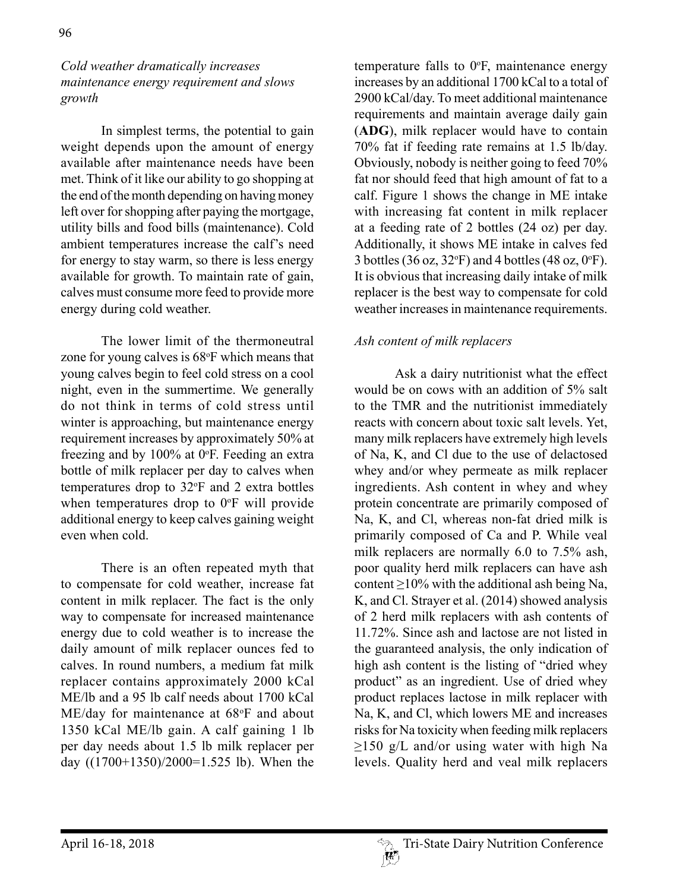## *Cold weather dramatically increases maintenance energy requirement and slows growth*

In simplest terms, the potential to gain weight depends upon the amount of energy available after maintenance needs have been met. Think of it like our ability to go shopping at the end of the month depending on having money left over for shopping after paying the mortgage, utility bills and food bills (maintenance). Cold ambient temperatures increase the calf's need for energy to stay warm, so there is less energy available for growth. To maintain rate of gain, calves must consume more feed to provide more energy during cold weather.

The lower limit of the thermoneutral zone for young calves is 68°F which means that young calves begin to feel cold stress on a cool night, even in the summertime. We generally do not think in terms of cold stress until winter is approaching, but maintenance energy requirement increases by approximately 50% at freezing and by  $100\%$  at 0°F. Feeding an extra bottle of milk replacer per day to calves when temperatures drop to 32°F and 2 extra bottles when temperatures drop to  $0^{\circ}$ F will provide additional energy to keep calves gaining weight even when cold.

There is an often repeated myth that to compensate for cold weather, increase fat content in milk replacer. The fact is the only way to compensate for increased maintenance energy due to cold weather is to increase the daily amount of milk replacer ounces fed to calves. In round numbers, a medium fat milk replacer contains approximately 2000 kCal ME/lb and a 95 lb calf needs about 1700 kCal ME/day for maintenance at 68°F and about 1350 kCal ME/lb gain. A calf gaining 1 lb per day needs about 1.5 lb milk replacer per day ((1700+1350)/2000=1.525 lb). When the

temperature falls to  $0^{\circ}$ F, maintenance energy increases by an additional 1700 kCal to a total of 2900 kCal/day. To meet additional maintenance requirements and maintain average daily gain (**ADG**), milk replacer would have to contain 70% fat if feeding rate remains at 1.5 lb/day. Obviously, nobody is neither going to feed 70% fat nor should feed that high amount of fat to a calf. Figure 1 shows the change in ME intake with increasing fat content in milk replacer at a feeding rate of 2 bottles (24 oz) per day. Additionally, it shows ME intake in calves fed 3 bottles (36 oz, 32 $\textdegree$ F) and 4 bottles (48 oz, 0 $\textdegree$ F). It is obvious that increasing daily intake of milk replacer is the best way to compensate for cold weather increases in maintenance requirements.

## *Ash content of milk replacers*

Ask a dairy nutritionist what the effect would be on cows with an addition of 5% salt to the TMR and the nutritionist immediately reacts with concern about toxic salt levels. Yet, many milk replacers have extremely high levels of Na, K, and Cl due to the use of delactosed whey and/or whey permeate as milk replacer ingredients. Ash content in whey and whey protein concentrate are primarily composed of Na, K, and Cl, whereas non-fat dried milk is primarily composed of Ca and P. While veal milk replacers are normally 6.0 to 7.5% ash, poor quality herd milk replacers can have ash content ≥10% with the additional ash being Na, K, and Cl. Strayer et al. (2014) showed analysis of 2 herd milk replacers with ash contents of 11.72%. Since ash and lactose are not listed in the guaranteed analysis, the only indication of high ash content is the listing of "dried whey product" as an ingredient. Use of dried whey product replaces lactose in milk replacer with Na, K, and Cl, which lowers ME and increases risks for Na toxicity when feeding milk replacers  $\geq$ 150 g/L and/or using water with high Na levels. Quality herd and veal milk replacers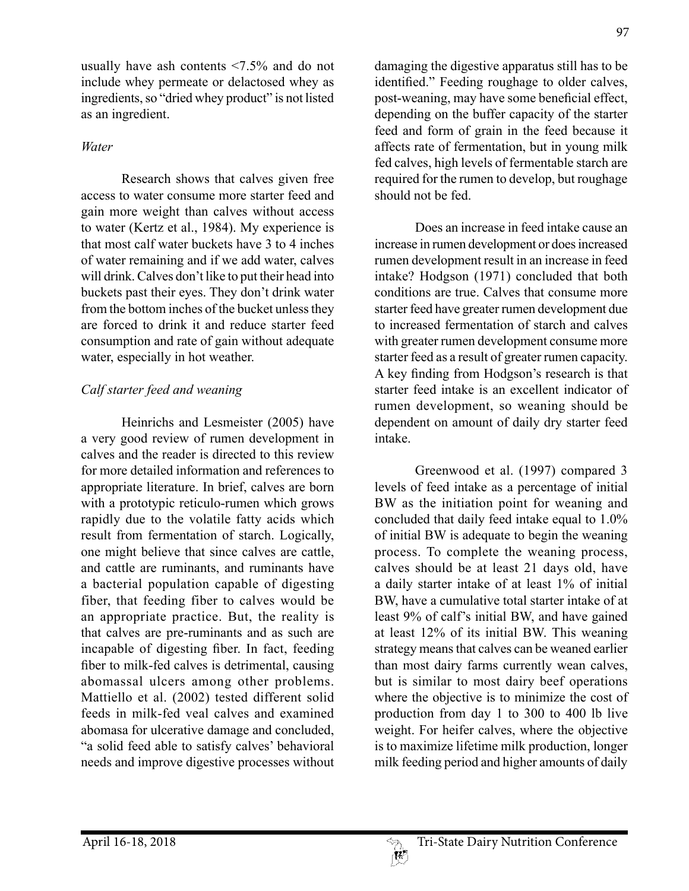usually have ash contents <7.5% and do not include whey permeate or delactosed whey as ingredients, so "dried whey product" is not listed as an ingredient.

## *Water*

Research shows that calves given free access to water consume more starter feed and gain more weight than calves without access to water (Kertz et al., 1984). My experience is that most calf water buckets have 3 to 4 inches of water remaining and if we add water, calves will drink. Calves don't like to put their head into buckets past their eyes. They don't drink water from the bottom inches of the bucket unless they are forced to drink it and reduce starter feed consumption and rate of gain without adequate water, especially in hot weather.

## *Calf starter feed and weaning*

Heinrichs and Lesmeister (2005) have a very good review of rumen development in calves and the reader is directed to this review for more detailed information and references to appropriate literature. In brief, calves are born with a prototypic reticulo-rumen which grows rapidly due to the volatile fatty acids which result from fermentation of starch. Logically, one might believe that since calves are cattle, and cattle are ruminants, and ruminants have a bacterial population capable of digesting fiber, that feeding fiber to calves would be an appropriate practice. But, the reality is that calves are pre-ruminants and as such are incapable of digesting fiber. In fact, feeding fiber to milk-fed calves is detrimental, causing abomassal ulcers among other problems. Mattiello et al. (2002) tested different solid feeds in milk-fed veal calves and examined abomasa for ulcerative damage and concluded, "a solid feed able to satisfy calves' behavioral needs and improve digestive processes without

damaging the digestive apparatus still has to be identified." Feeding roughage to older calves, post-weaning, may have some beneficial effect, depending on the buffer capacity of the starter feed and form of grain in the feed because it affects rate of fermentation, but in young milk fed calves, high levels of fermentable starch are required for the rumen to develop, but roughage should not be fed.

Does an increase in feed intake cause an increase in rumen development or does increased rumen development result in an increase in feed intake? Hodgson (1971) concluded that both conditions are true. Calves that consume more starter feed have greater rumen development due to increased fermentation of starch and calves with greater rumen development consume more starter feed as a result of greater rumen capacity. A key finding from Hodgson's research is that starter feed intake is an excellent indicator of rumen development, so weaning should be dependent on amount of daily dry starter feed intake.

Greenwood et al. (1997) compared 3 levels of feed intake as a percentage of initial BW as the initiation point for weaning and concluded that daily feed intake equal to 1.0% of initial BW is adequate to begin the weaning process. To complete the weaning process, calves should be at least 21 days old, have a daily starter intake of at least 1% of initial BW, have a cumulative total starter intake of at least 9% of calf's initial BW, and have gained at least 12% of its initial BW. This weaning strategy means that calves can be weaned earlier than most dairy farms currently wean calves, but is similar to most dairy beef operations where the objective is to minimize the cost of production from day 1 to 300 to 400 lb live weight. For heifer calves, where the objective is to maximize lifetime milk production, longer milk feeding period and higher amounts of daily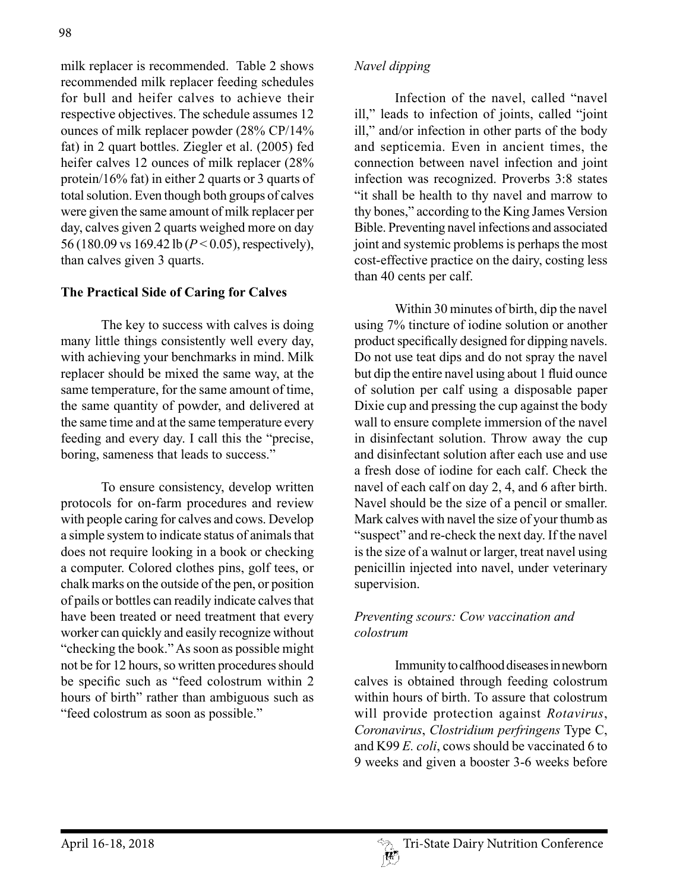milk replacer is recommended. Table 2 shows recommended milk replacer feeding schedules for bull and heifer calves to achieve their respective objectives. The schedule assumes 12 ounces of milk replacer powder (28% CP/14% fat) in 2 quart bottles. Ziegler et al. (2005) fed heifer calves 12 ounces of milk replacer (28% protein/16% fat) in either 2 quarts or 3 quarts of total solution. Even though both groups of calves were given the same amount of milk replacer per day, calves given 2 quarts weighed more on day 56 (180.09 vs 169.42 lb (*P* < 0.05), respectively), than calves given 3 quarts.

## **The Practical Side of Caring for Calves**

The key to success with calves is doing many little things consistently well every day, with achieving your benchmarks in mind. Milk replacer should be mixed the same way, at the same temperature, for the same amount of time, the same quantity of powder, and delivered at the same time and at the same temperature every feeding and every day. I call this the "precise, boring, sameness that leads to success."

To ensure consistency, develop written protocols for on-farm procedures and review with people caring for calves and cows. Develop a simple system to indicate status of animals that does not require looking in a book or checking a computer. Colored clothes pins, golf tees, or chalk marks on the outside of the pen, or position of pails or bottles can readily indicate calves that have been treated or need treatment that every worker can quickly and easily recognize without "checking the book." As soon as possible might not be for 12 hours, so written procedures should be specific such as "feed colostrum within 2 hours of birth" rather than ambiguous such as "feed colostrum as soon as possible."

Infection of the navel, called "navel ill," leads to infection of joints, called "joint ill," and/or infection in other parts of the body and septicemia. Even in ancient times, the connection between navel infection and joint infection was recognized. Proverbs 3:8 states "it shall be health to thy navel and marrow to thy bones," according to the King James Version Bible. Preventing navel infections and associated joint and systemic problems is perhaps the most cost-effective practice on the dairy, costing less than 40 cents per calf.

Within 30 minutes of birth, dip the navel using 7% tincture of iodine solution or another product specifically designed for dipping navels. Do not use teat dips and do not spray the navel but dip the entire navel using about 1 fluid ounce of solution per calf using a disposable paper Dixie cup and pressing the cup against the body wall to ensure complete immersion of the navel in disinfectant solution. Throw away the cup and disinfectant solution after each use and use a fresh dose of iodine for each calf. Check the navel of each calf on day 2, 4, and 6 after birth. Navel should be the size of a pencil or smaller. Mark calves with navel the size of your thumb as "suspect" and re-check the next day. If the navel is the size of a walnut or larger, treat navel using penicillin injected into navel, under veterinary supervision.

## *Preventing scours: Cow vaccination and colostrum*

Immunity to calfhood diseases in newborn calves is obtained through feeding colostrum within hours of birth. To assure that colostrum will provide protection against *Rotavirus*, *Coronavirus*, *Clostridium perfringens* Type C, and K99 *E. coli*, cows should be vaccinated 6 to 9 weeks and given a booster 3-6 weeks before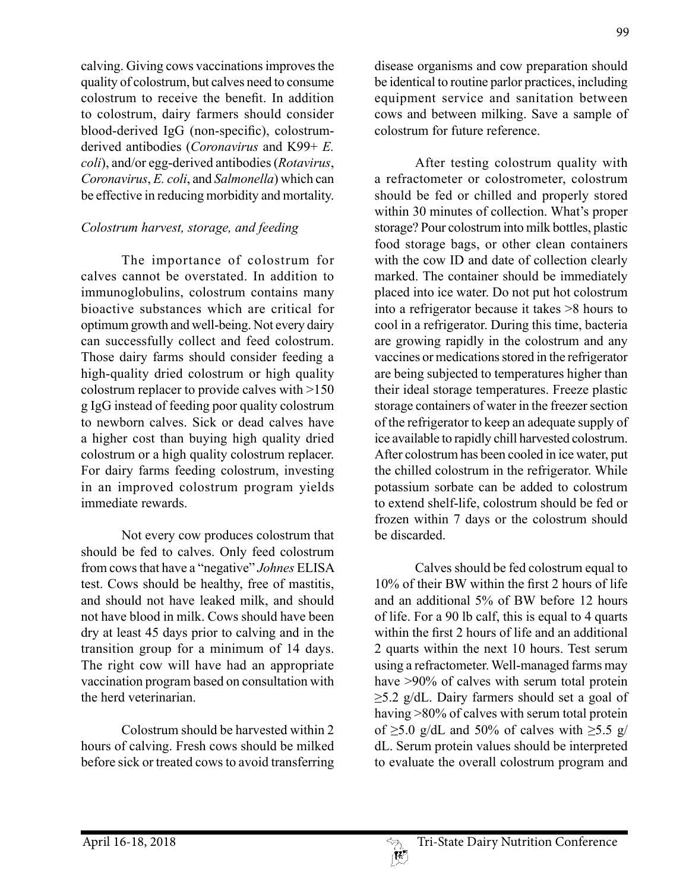calving. Giving cows vaccinations improves the quality of colostrum, but calves need to consume colostrum to receive the benefit. In addition to colostrum, dairy farmers should consider blood-derived IgG (non-specific), colostrumderived antibodies (*Coronavirus* and K99+ *E. coli*), and/or egg-derived antibodies (*Rotavirus*, *Coronavirus*, *E. coli*, and *Salmonella*) which can be effective in reducing morbidity and mortality.

## *Colostrum harvest, storage, and feeding*

The importance of colostrum for calves cannot be overstated. In addition to immunoglobulins, colostrum contains many bioactive substances which are critical for optimum growth and well-being. Not every dairy can successfully collect and feed colostrum. Those dairy farms should consider feeding a high-quality dried colostrum or high quality colostrum replacer to provide calves with >150 g IgG instead of feeding poor quality colostrum to newborn calves. Sick or dead calves have a higher cost than buying high quality dried colostrum or a high quality colostrum replacer. For dairy farms feeding colostrum, investing in an improved colostrum program yields immediate rewards.

Not every cow produces colostrum that should be fed to calves. Only feed colostrum from cows that have a "negative" *Johnes* ELISA test. Cows should be healthy, free of mastitis, and should not have leaked milk, and should not have blood in milk. Cows should have been dry at least 45 days prior to calving and in the transition group for a minimum of 14 days. The right cow will have had an appropriate vaccination program based on consultation with the herd veterinarian.

Colostrum should be harvested within 2 hours of calving. Fresh cows should be milked before sick or treated cows to avoid transferring disease organisms and cow preparation should be identical to routine parlor practices, including equipment service and sanitation between cows and between milking. Save a sample of colostrum for future reference.

After testing colostrum quality with a refractometer or colostrometer, colostrum should be fed or chilled and properly stored within 30 minutes of collection. What's proper storage? Pour colostrum into milk bottles, plastic food storage bags, or other clean containers with the cow ID and date of collection clearly marked. The container should be immediately placed into ice water. Do not put hot colostrum into a refrigerator because it takes >8 hours to cool in a refrigerator. During this time, bacteria are growing rapidly in the colostrum and any vaccines or medications stored in the refrigerator are being subjected to temperatures higher than their ideal storage temperatures. Freeze plastic storage containers of water in the freezer section of the refrigerator to keep an adequate supply of ice available to rapidly chill harvested colostrum. After colostrum has been cooled in ice water, put the chilled colostrum in the refrigerator. While potassium sorbate can be added to colostrum to extend shelf-life, colostrum should be fed or frozen within 7 days or the colostrum should be discarded.

Calves should be fed colostrum equal to 10% of their BW within the first 2 hours of life and an additional 5% of BW before 12 hours of life. For a 90 lb calf, this is equal to 4 quarts within the first 2 hours of life and an additional 2 quarts within the next 10 hours. Test serum using a refractometer. Well-managed farms may have >90% of calves with serum total protein  $\geq$ 5.2 g/dL. Dairy farmers should set a goal of having >80% of calves with serum total protein of  $\geq$ 5.0 g/dL and 50% of calves with  $\geq$ 5.5 g/ dL. Serum protein values should be interpreted to evaluate the overall colostrum program and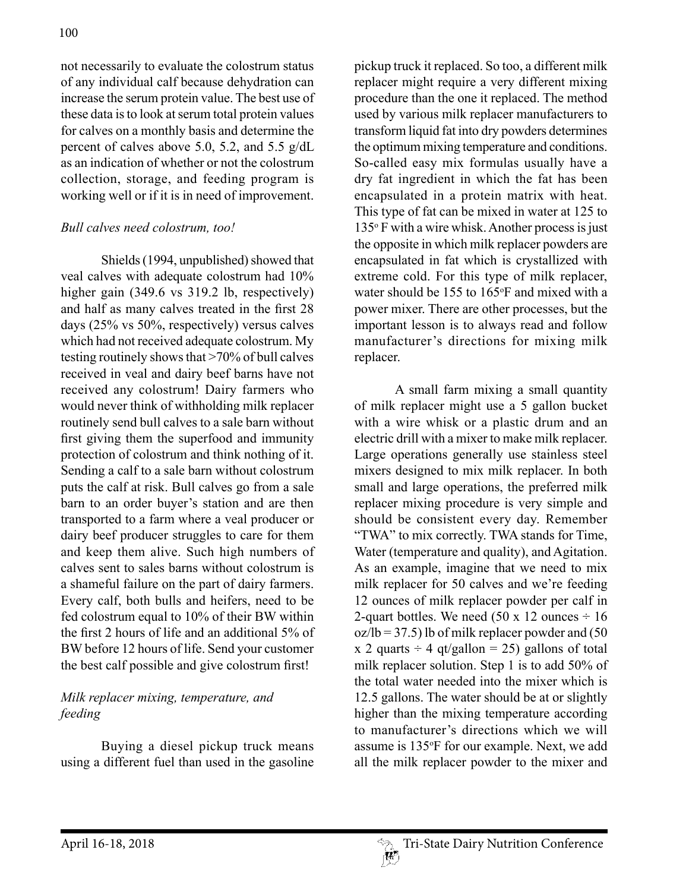not necessarily to evaluate the colostrum status of any individual calf because dehydration can increase the serum protein value. The best use of these data is to look at serum total protein values for calves on a monthly basis and determine the percent of calves above 5.0, 5.2, and 5.5 g/dL as an indication of whether or not the colostrum collection, storage, and feeding program is working well or if it is in need of improvement.

## *Bull calves need colostrum, too!*

Shields (1994, unpublished) showed that veal calves with adequate colostrum had 10% higher gain (349.6 vs 319.2 lb, respectively) and half as many calves treated in the first 28 days (25% vs 50%, respectively) versus calves which had not received adequate colostrum. My testing routinely shows that >70% of bull calves received in veal and dairy beef barns have not received any colostrum! Dairy farmers who would never think of withholding milk replacer routinely send bull calves to a sale barn without first giving them the superfood and immunity protection of colostrum and think nothing of it. Sending a calf to a sale barn without colostrum puts the calf at risk. Bull calves go from a sale barn to an order buyer's station and are then transported to a farm where a veal producer or dairy beef producer struggles to care for them and keep them alive. Such high numbers of calves sent to sales barns without colostrum is a shameful failure on the part of dairy farmers. Every calf, both bulls and heifers, need to be fed colostrum equal to 10% of their BW within the first 2 hours of life and an additional 5% of BW before 12 hours of life. Send your customer the best calf possible and give colostrum first!

## *Milk replacer mixing, temperature, and feeding*

Buying a diesel pickup truck means using a different fuel than used in the gasoline pickup truck it replaced. So too, a different milk replacer might require a very different mixing procedure than the one it replaced. The method used by various milk replacer manufacturers to transform liquid fat into dry powders determines the optimum mixing temperature and conditions. So-called easy mix formulas usually have a dry fat ingredient in which the fat has been encapsulated in a protein matrix with heat. This type of fat can be mixed in water at 125 to 135o F with a wire whisk. Another process is just the opposite in which milk replacer powders are encapsulated in fat which is crystallized with extreme cold. For this type of milk replacer, water should be 155 to 165°F and mixed with a power mixer. There are other processes, but the important lesson is to always read and follow manufacturer's directions for mixing milk replacer.

A small farm mixing a small quantity of milk replacer might use a 5 gallon bucket with a wire whisk or a plastic drum and an electric drill with a mixer to make milk replacer. Large operations generally use stainless steel mixers designed to mix milk replacer. In both small and large operations, the preferred milk replacer mixing procedure is very simple and should be consistent every day. Remember "TWA" to mix correctly. TWA stands for Time, Water (temperature and quality), and Agitation. As an example, imagine that we need to mix milk replacer for 50 calves and we're feeding 12 ounces of milk replacer powder per calf in 2-quart bottles. We need  $(50 \times 12 \text{ ounces} \div 16$  $oz/b = 37.5$ ) lb of milk replacer powder and (50 x 2 quarts  $\div$  4 qt/gallon = 25) gallons of total milk replacer solution. Step 1 is to add 50% of the total water needed into the mixer which is 12.5 gallons. The water should be at or slightly higher than the mixing temperature according to manufacturer's directions which we will assume is 135°F for our example. Next, we add all the milk replacer powder to the mixer and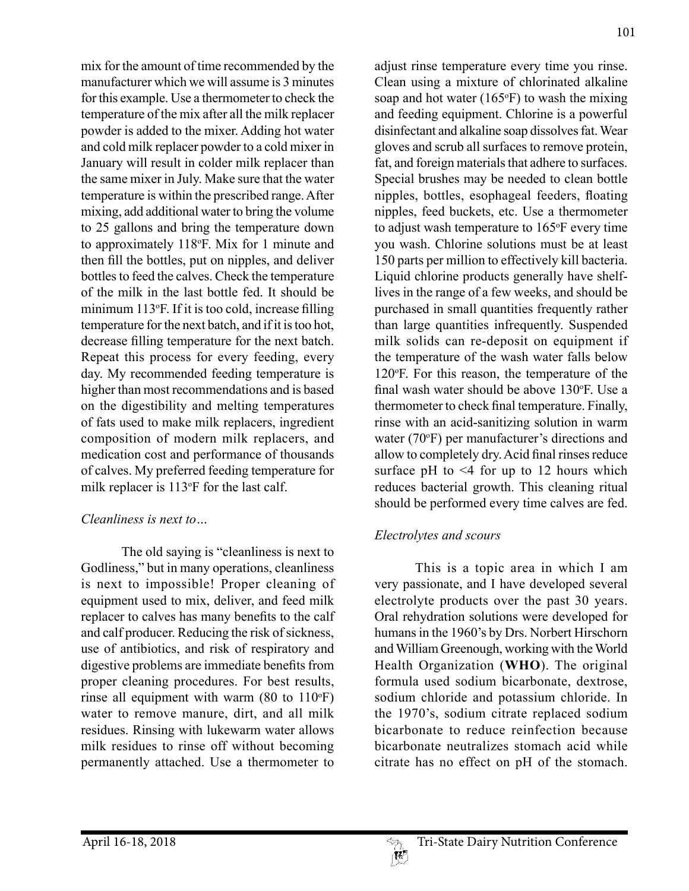mix for the amount of time recommended by the manufacturer which we will assume is 3 minutes for this example. Use a thermometer to check the temperature of the mix after all the milk replacer powder is added to the mixer. Adding hot water and cold milk replacer powder to a cold mixer in January will result in colder milk replacer than the same mixer in July. Make sure that the water temperature is within the prescribed range. After mixing, add additional water to bring the volume to 25 gallons and bring the temperature down to approximately 118°F. Mix for 1 minute and then fill the bottles, put on nipples, and deliver bottles to feed the calves. Check the temperature of the milk in the last bottle fed. It should be minimum 113°F. If it is too cold, increase filling temperature for the next batch, and if it is too hot, decrease filling temperature for the next batch. Repeat this process for every feeding, every day. My recommended feeding temperature is higher than most recommendations and is based on the digestibility and melting temperatures of fats used to make milk replacers, ingredient composition of modern milk replacers, and medication cost and performance of thousands of calves. My preferred feeding temperature for milk replacer is 113°F for the last calf.

## *Cleanliness is next to…*

The old saying is "cleanliness is next to Godliness," but in many operations, cleanliness is next to impossible! Proper cleaning of equipment used to mix, deliver, and feed milk replacer to calves has many benefits to the calf and calf producer. Reducing the risk of sickness, use of antibiotics, and risk of respiratory and digestive problems are immediate benefits from proper cleaning procedures. For best results, rinse all equipment with warm  $(80 \text{ to } 110^{\circ}F)$ water to remove manure, dirt, and all milk residues. Rinsing with lukewarm water allows milk residues to rinse off without becoming permanently attached. Use a thermometer to

adjust rinse temperature every time you rinse. Clean using a mixture of chlorinated alkaline soap and hot water  $(165^{\circ}F)$  to wash the mixing and feeding equipment. Chlorine is a powerful disinfectant and alkaline soap dissolves fat. Wear gloves and scrub all surfaces to remove protein, fat, and foreign materials that adhere to surfaces. Special brushes may be needed to clean bottle nipples, bottles, esophageal feeders, floating nipples, feed buckets, etc. Use a thermometer to adjust wash temperature to 165o F every time you wash. Chlorine solutions must be at least 150 parts per million to effectively kill bacteria. Liquid chlorine products generally have shelflives in the range of a few weeks, and should be purchased in small quantities frequently rather than large quantities infrequently. Suspended milk solids can re-deposit on equipment if the temperature of the wash water falls below 120°F. For this reason, the temperature of the final wash water should be above 130°F. Use a thermometer to check final temperature. Finally, rinse with an acid-sanitizing solution in warm water (70°F) per manufacturer's directions and allow to completely dry. Acid final rinses reduce surface pH to  $\leq 4$  for up to 12 hours which reduces bacterial growth. This cleaning ritual should be performed every time calves are fed.

# *Electrolytes and scours*

This is a topic area in which I am very passionate, and I have developed several electrolyte products over the past 30 years. Oral rehydration solutions were developed for humans in the 1960's by Drs. Norbert Hirschorn and William Greenough, working with the World Health Organization (**WHO**). The original formula used sodium bicarbonate, dextrose, sodium chloride and potassium chloride. In the 1970's, sodium citrate replaced sodium bicarbonate to reduce reinfection because bicarbonate neutralizes stomach acid while citrate has no effect on pH of the stomach.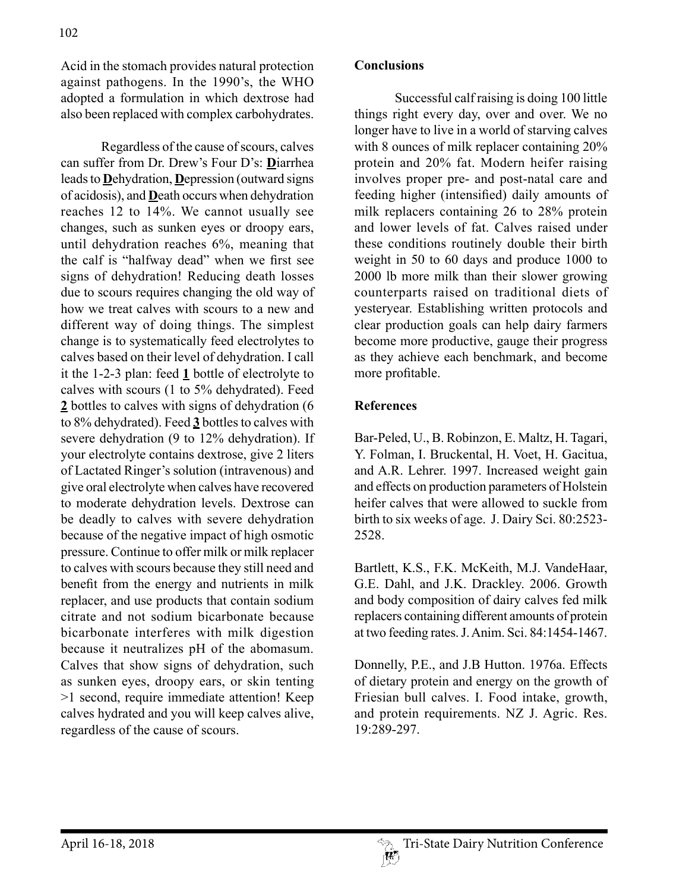Acid in the stomach provides natural protection against pathogens. In the 1990's, the WHO adopted a formulation in which dextrose had also been replaced with complex carbohydrates.

Regardless of the cause of scours, calves can suffer from Dr. Drew's Four D's: **D**iarrhea leads to **D**ehydration, **D**epression (outward signs of acidosis), and **D**eath occurs when dehydration reaches 12 to 14%. We cannot usually see changes, such as sunken eyes or droopy ears, until dehydration reaches 6%, meaning that the calf is "halfway dead" when we first see signs of dehydration! Reducing death losses due to scours requires changing the old way of how we treat calves with scours to a new and different way of doing things. The simplest change is to systematically feed electrolytes to calves based on their level of dehydration. I call it the 1-2-3 plan: feed **1** bottle of electrolyte to calves with scours (1 to 5% dehydrated). Feed **2** bottles to calves with signs of dehydration (6 to 8% dehydrated). Feed **3** bottles to calves with severe dehydration (9 to 12% dehydration). If your electrolyte contains dextrose, give 2 liters of Lactated Ringer's solution (intravenous) and give oral electrolyte when calves have recovered to moderate dehydration levels. Dextrose can be deadly to calves with severe dehydration because of the negative impact of high osmotic pressure. Continue to offer milk or milk replacer to calves with scours because they still need and benefit from the energy and nutrients in milk replacer, and use products that contain sodium citrate and not sodium bicarbonate because bicarbonate interferes with milk digestion because it neutralizes pH of the abomasum. Calves that show signs of dehydration, such as sunken eyes, droopy ears, or skin tenting >1 second, require immediate attention! Keep calves hydrated and you will keep calves alive, regardless of the cause of scours.

## **Conclusions**

Successful calf raising is doing 100 little things right every day, over and over. We no longer have to live in a world of starving calves with 8 ounces of milk replacer containing 20% protein and 20% fat. Modern heifer raising involves proper pre- and post-natal care and feeding higher (intensified) daily amounts of milk replacers containing 26 to 28% protein and lower levels of fat. Calves raised under these conditions routinely double their birth weight in 50 to 60 days and produce 1000 to 2000 lb more milk than their slower growing counterparts raised on traditional diets of yesteryear. Establishing written protocols and clear production goals can help dairy farmers become more productive, gauge their progress as they achieve each benchmark, and become more profitable.

## **References**

Bar-Peled, U., B. Robinzon, E. Maltz, H. Tagari, Y. Folman, I. Bruckental, H. Voet, H. Gacitua, and A.R. Lehrer. 1997. Increased weight gain and effects on production parameters of Holstein heifer calves that were allowed to suckle from birth to six weeks of age. J. Dairy Sci. 80:2523- 2528.

Bartlett, K.S., F.K. McKeith, M.J. VandeHaar, G.E. Dahl, and J.K. Drackley. 2006. Growth and body composition of dairy calves fed milk replacers containing different amounts of protein at two feeding rates. J. Anim. Sci. 84:1454-1467.

Donnelly, P.E., and J.B Hutton. 1976a. Effects of dietary protein and energy on the growth of Friesian bull calves. I. Food intake, growth, and protein requirements. NZ J. Agric. Res. 19:289-297.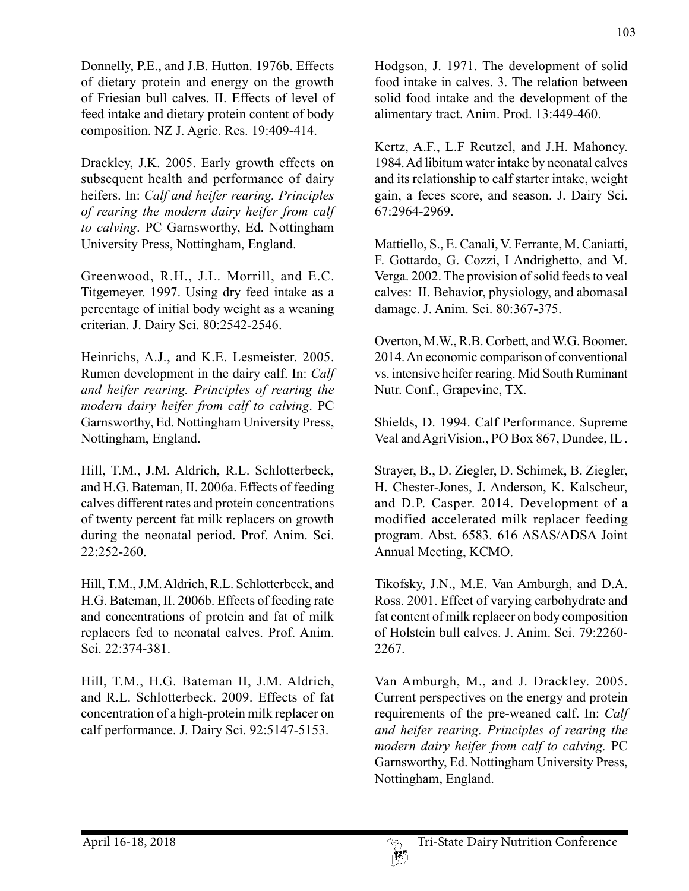Donnelly, P.E., and J.B. Hutton. 1976b. Effects of dietary protein and energy on the growth of Friesian bull calves. II. Effects of level of feed intake and dietary protein content of body composition. NZ J. Agric. Res. 19:409-414.

Drackley, J.K. 2005. Early growth effects on subsequent health and performance of dairy heifers. In: *Calf and heifer rearing. Principles of rearing the modern dairy heifer from calf to calving*. PC Garnsworthy, Ed. Nottingham University Press, Nottingham, England.

Greenwood, R.H., J.L. Morrill, and E.C. Titgemeyer. 1997. Using dry feed intake as a percentage of initial body weight as a weaning criterian. J. Dairy Sci. 80:2542-2546.

Heinrichs, A.J., and K.E. Lesmeister. 2005. Rumen development in the dairy calf. In: *Calf and heifer rearing. Principles of rearing the modern dairy heifer from calf to calving*. PC Garnsworthy, Ed. Nottingham University Press, Nottingham, England.

Hill, T.M., J.M. Aldrich, R.L. Schlotterbeck, and H.G. Bateman, II. 2006a. Effects of feeding calves different rates and protein concentrations of twenty percent fat milk replacers on growth during the neonatal period. Prof. Anim. Sci. 22:252-260.

Hill, T.M., J.M. Aldrich, R.L. Schlotterbeck, and H.G. Bateman, II. 2006b. Effects of feeding rate and concentrations of protein and fat of milk replacers fed to neonatal calves. Prof. Anim. Sci. 22:374-381.

Hill, T.M., H.G. Bateman II, J.M. Aldrich, and R.L. Schlotterbeck. 2009. Effects of fat concentration of a high-protein milk replacer on calf performance. J. Dairy Sci. 92:5147-5153.

Hodgson, J. 1971. The development of solid food intake in calves. 3. The relation between solid food intake and the development of the alimentary tract. Anim. Prod. 13:449-460.

Kertz, A.F., L.F Reutzel, and J.H. Mahoney. 1984. Ad libitum water intake by neonatal calves and its relationship to calf starter intake, weight gain, a feces score, and season. J. Dairy Sci. 67:2964-2969.

Mattiello, S., E. Canali, V. Ferrante, M. Caniatti, F. Gottardo, G. Cozzi, I Andrighetto, and M. Verga. 2002. The provision of solid feeds to veal calves: II. Behavior, physiology, and abomasal damage. J. Anim. Sci. 80:367-375.

Overton, M.W., R.B. Corbett, and W.G. Boomer. 2014. An economic comparison of conventional vs. intensive heifer rearing. Mid South Ruminant Nutr. Conf., Grapevine, TX.

Shields, D. 1994. Calf Performance. Supreme Veal and AgriVision., PO Box 867, Dundee, IL .

Strayer, B., D. Ziegler, D. Schimek, B. Ziegler, H. Chester-Jones, J. Anderson, K. Kalscheur, and D.P. Casper. 2014. Development of a modified accelerated milk replacer feeding program. Abst. 6583. 616 ASAS/ADSA Joint Annual Meeting, KCMO.

Tikofsky, J.N., M.E. Van Amburgh, and D.A. Ross. 2001. Effect of varying carbohydrate and fat content of milk replacer on body composition of Holstein bull calves. J. Anim. Sci. 79:2260- 2267.

Van Amburgh, M., and J. Drackley. 2005. Current perspectives on the energy and protein requirements of the pre-weaned calf. In: *Calf and heifer rearing. Principles of rearing the modern dairy heifer from calf to calving.* PC Garnsworthy, Ed. Nottingham University Press, Nottingham, England.

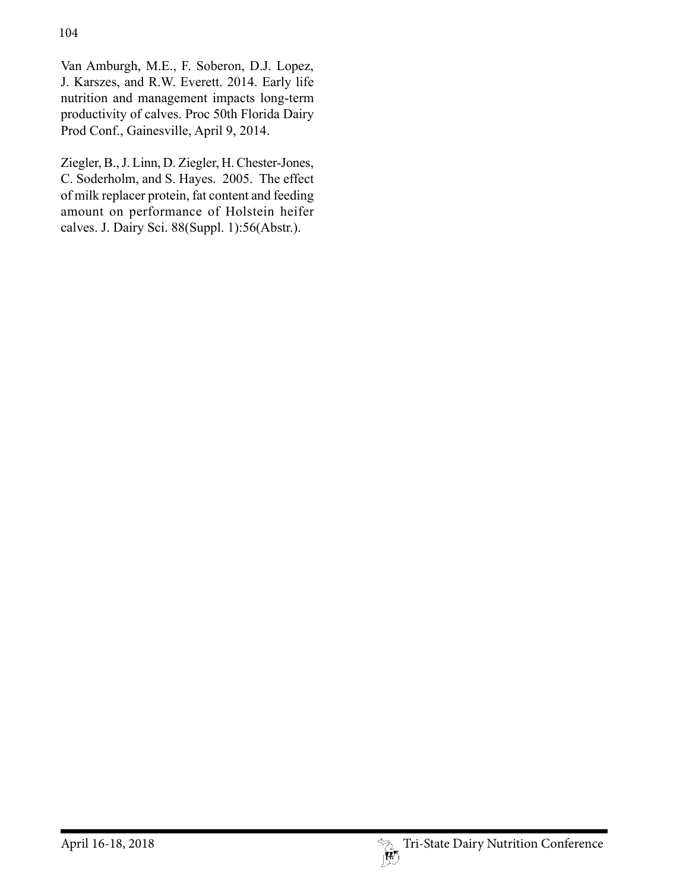Van Amburgh, M.E., F. Soberon, D.J. Lopez, J. Karszes, and R.W. Everett. 2014. Early life nutrition and management impacts long-term productivity of calves. Proc 50th Florida Dairy Prod Conf., Gainesville, April 9, 2014.

Ziegler, B., J. Linn, D. Ziegler, H. Chester-Jones, C. Soderholm, and S. Hayes. 2005. The effect of milk replacer protein, fat content and feeding amount on performance of Holstein heifer calves. J. Dairy Sci. 88(Suppl. 1):56(Abstr.).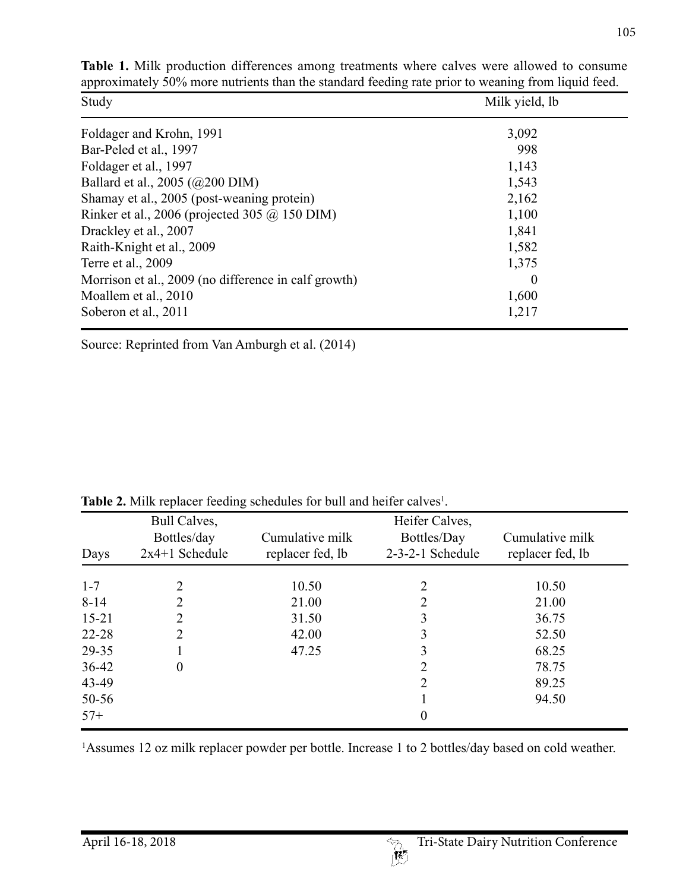| Study                                                | Milk yield, lb |  |
|------------------------------------------------------|----------------|--|
| Foldager and Krohn, 1991                             | 3,092          |  |
| Bar-Peled et al., 1997                               | 998            |  |
| Foldager et al., 1997                                | 1,143          |  |
| Ballard et al., 2005 (@200 DIM)                      | 1,543          |  |
| Shamay et al., 2005 (post-weaning protein)           | 2,162          |  |
| Rinker et al., 2006 (projected 305 @ 150 DIM)        | 1,100          |  |
| Drackley et al., 2007                                | 1,841          |  |
| Raith-Knight et al., 2009                            | 1,582          |  |
| Terre et al., 2009                                   | 1,375          |  |
| Morrison et al., 2009 (no difference in calf growth) | $\theta$       |  |
| Moallem et al., 2010                                 | 1,600          |  |
| Soberon et al., 2011                                 | 1,217          |  |

**Table 1.** Milk production differences among treatments where calves were allowed to consume approximately 50% more nutrients than the standard feeding rate prior to weaning from liquid feed.

Source: Reprinted from Van Amburgh et al. (2014)

| Days      | Bull Calves,<br>Bottles/day<br>$2x4+1$ Schedule | Cumulative milk<br>replacer fed, lb | Heifer Calves,<br>Bottles/Day<br>2-3-2-1 Schedule | Cumulative milk<br>replacer fed, lb |
|-----------|-------------------------------------------------|-------------------------------------|---------------------------------------------------|-------------------------------------|
| $1 - 7$   |                                                 | 10.50                               | 2                                                 | 10.50                               |
| $8 - 14$  | 2                                               | 21.00                               | 2                                                 | 21.00                               |
| $15 - 21$ | 2                                               | 31.50                               | 3                                                 | 36.75                               |
| $22 - 28$ | 2                                               | 42.00                               | 3                                                 | 52.50                               |
| 29-35     |                                                 | 47.25                               | 3                                                 | 68.25                               |
| $36 - 42$ | 0                                               |                                     | 2                                                 | 78.75                               |
| 43-49     |                                                 |                                     | 2                                                 | 89.25                               |
| 50-56     |                                                 |                                     |                                                   | 94.50                               |
| $57+$     |                                                 |                                     | $\boldsymbol{0}$                                  |                                     |

**Table 2.** Milk replacer feeding schedules for bull and heifer calves<sup>1</sup>.

<sup>1</sup>Assumes 12 oz milk replacer powder per bottle. Increase 1 to 2 bottles/day based on cold weather.